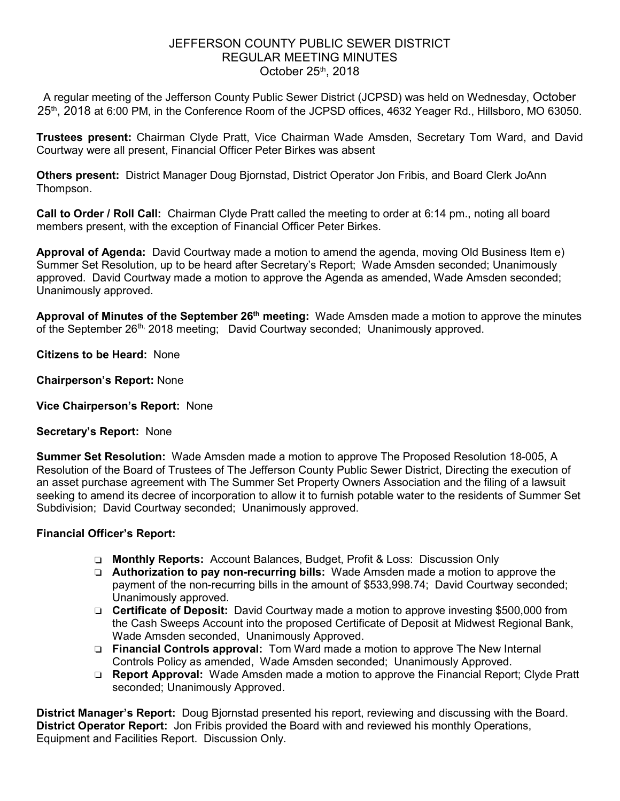## JEFFERSON COUNTY PUBLIC SEWER DISTRICT REGULAR MEETING MINUTES October 25th, 2018

A regular meeting of the Jefferson County Public Sewer District (JCPSD) was held on Wednesday, October 25<sup>th</sup>, 2018 at 6:00 PM, in the Conference Room of the JCPSD offices, 4632 Yeager Rd., Hillsboro, MO 63050.

**Trustees present:** Chairman Clyde Pratt, Vice Chairman Wade Amsden, Secretary Tom Ward, and David Courtway were all present, Financial Officer Peter Birkes was absent

**Others present:** District Manager Doug Bjornstad, District Operator Jon Fribis, and Board Clerk JoAnn Thompson.

**Call to Order / Roll Call:** Chairman Clyde Pratt called the meeting to order at 6:14 pm., noting all board members present, with the exception of Financial Officer Peter Birkes.

**Approval of Agenda:** David Courtway made a motion to amend the agenda, moving Old Business Item e) Summer Set Resolution, up to be heard after Secretary's Report; Wade Amsden seconded; Unanimously approved. David Courtway made a motion to approve the Agenda as amended, Wade Amsden seconded; Unanimously approved.

**Approval of Minutes of the September 26th meeting:** Wade Amsden made a motion to approve the minutes of the September 26<sup>th,</sup> 2018 meeting; David Courtway seconded; Unanimously approved.

**Citizens to be Heard:** None

**Chairperson's Report:** None

**Vice Chairperson's Report:** None

**Secretary's Report:** None

**Summer Set Resolution:** Wade Amsden made a motion to approve The Proposed Resolution 18-005, A Resolution of the Board of Trustees of The Jefferson County Public Sewer District, Directing the execution of an asset purchase agreement with The Summer Set Property Owners Association and the filing of a lawsuit seeking to amend its decree of incorporation to allow it to furnish potable water to the residents of Summer Set Subdivision; David Courtway seconded; Unanimously approved.

#### **Financial Officer's Report:**

- ❏ **Monthly Reports:** Account Balances, Budget, Profit & Loss: Discussion Only
- ❏ **Authorization to pay non-recurring bills:** Wade Amsden made a motion to approve the payment of the non-recurring bills in the amount of \$533,998.74; David Courtway seconded; Unanimously approved.
- ❏ **Certificate of Deposit:** David Courtway made a motion to approve investing \$500,000 from the Cash Sweeps Account into the proposed Certificate of Deposit at Midwest Regional Bank, Wade Amsden seconded, Unanimously Approved.
- ❏ **Financial Controls approval:** Tom Ward made a motion to approve The New Internal Controls Policy as amended, Wade Amsden seconded; Unanimously Approved.
- ❏ **Report Approval:** Wade Amsden made a motion to approve the Financial Report; Clyde Pratt seconded; Unanimously Approved.

**District Manager's Report:** Doug Bjornstad presented his report, reviewing and discussing with the Board. **District Operator Report:** Jon Fribis provided the Board with and reviewed his monthly Operations, Equipment and Facilities Report. Discussion Only.